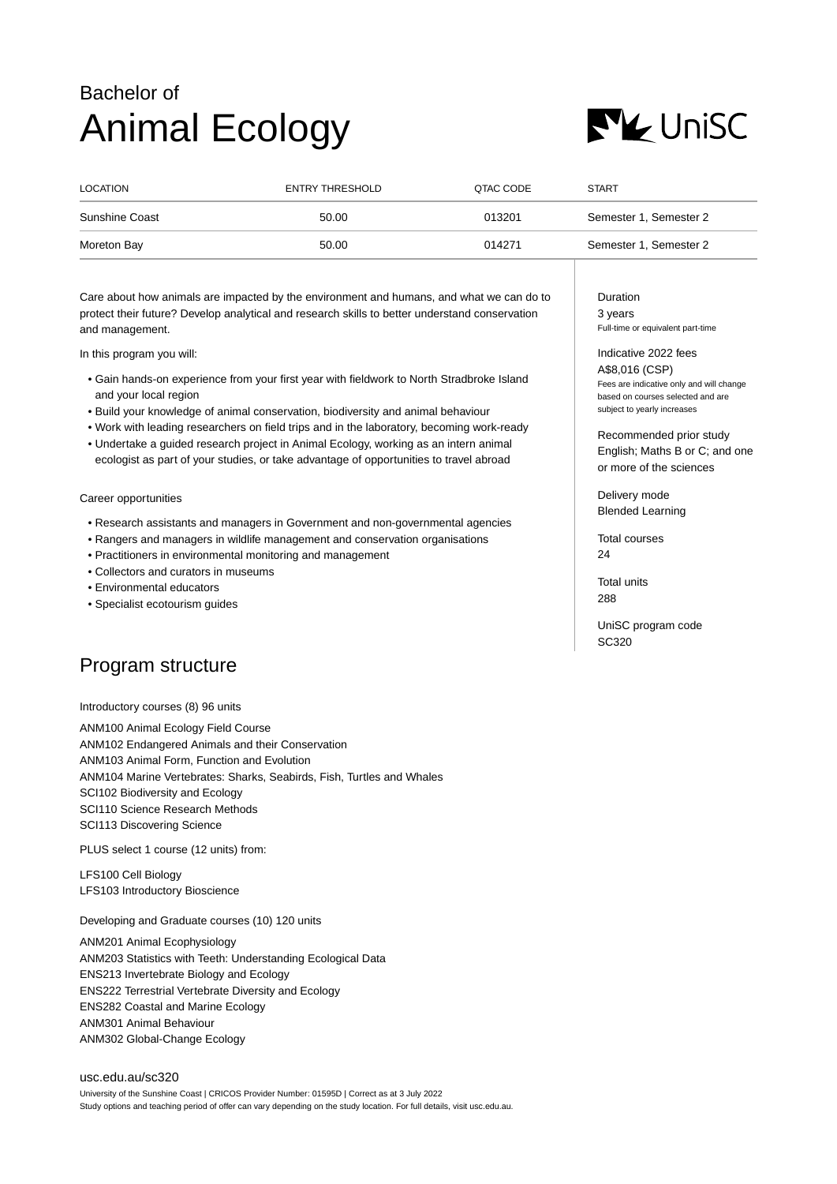## Bachelor of Animal Ecology



| LOCATION       | ENTRY THRESHOLD | QTAC CODE | <b>START</b>           |
|----------------|-----------------|-----------|------------------------|
| Sunshine Coast | 50.00           | 013201    | Semester 1, Semester 2 |
| Moreton Bay    | 50.00           | 014271    | Semester 1, Semester 2 |

Care about how animals are impacted by the environment and humans, and what we can do to protect their future? Develop analytical and research skills to better understand conservation and management.

In this program you will:

- Gain hands-on experience from your first year with fieldwork to North Stradbroke Island and your local region
- Build your knowledge of animal conservation, biodiversity and animal behaviour
- Work with leading researchers on field trips and in the laboratory, becoming work-ready
- Undertake a guided research project in Animal Ecology, working as an intern animal ecologist as part of your studies, or take advantage of opportunities to travel abroad

Career opportunities

- Research assistants and managers in Government and non-governmental agencies
- Rangers and managers in wildlife management and conservation organisations
- Practitioners in environmental monitoring and management
- Collectors and curators in museums
- Environmental educators
- Specialist ecotourism guides

## Program structure

Introductory courses (8) 96 units

ANM100 Animal Ecology Field Course ANM102 Endangered Animals and their Conservation ANM103 Animal Form, Function and Evolution ANM104 Marine Vertebrates: Sharks, Seabirds, Fish, Turtles and Whales SCI102 Biodiversity and Ecology SCI110 Science Research Methods SCI113 Discovering Science

PLUS select 1 course (12 units) from:

LFS100 Cell Biology LFS103 Introductory Bioscience

Developing and Graduate courses (10) 120 units

ANM201 Animal Ecophysiology ANM203 Statistics with Teeth: Understanding Ecological Data ENS213 Invertebrate Biology and Ecology ENS222 Terrestrial Vertebrate Diversity and Ecology ENS282 Coastal and Marine Ecology ANM301 Animal Behaviour ANM302 Global-Change Ecology

[usc.edu.au/sc320](https://www.usc.edu.au/sc320) University of the Sunshine Coast | CRICOS Provider Number: 01595D | Correct as at 3 July 2022 Study options and teaching period of offer can vary depending on the study location. For full details, visit usc.edu.au. Duration 3 years Full-time or equivalent part-time

Indicative 2022 fees A\$8,016 (CSP) Fees are indicative only and will change based on courses selected and are subject to yearly increases

Recommended prior study English; Maths B or C; and one or more of the sciences

Delivery mode Blended Learning

Total courses  $24$ 

Total units 288

UniSC program code SC320